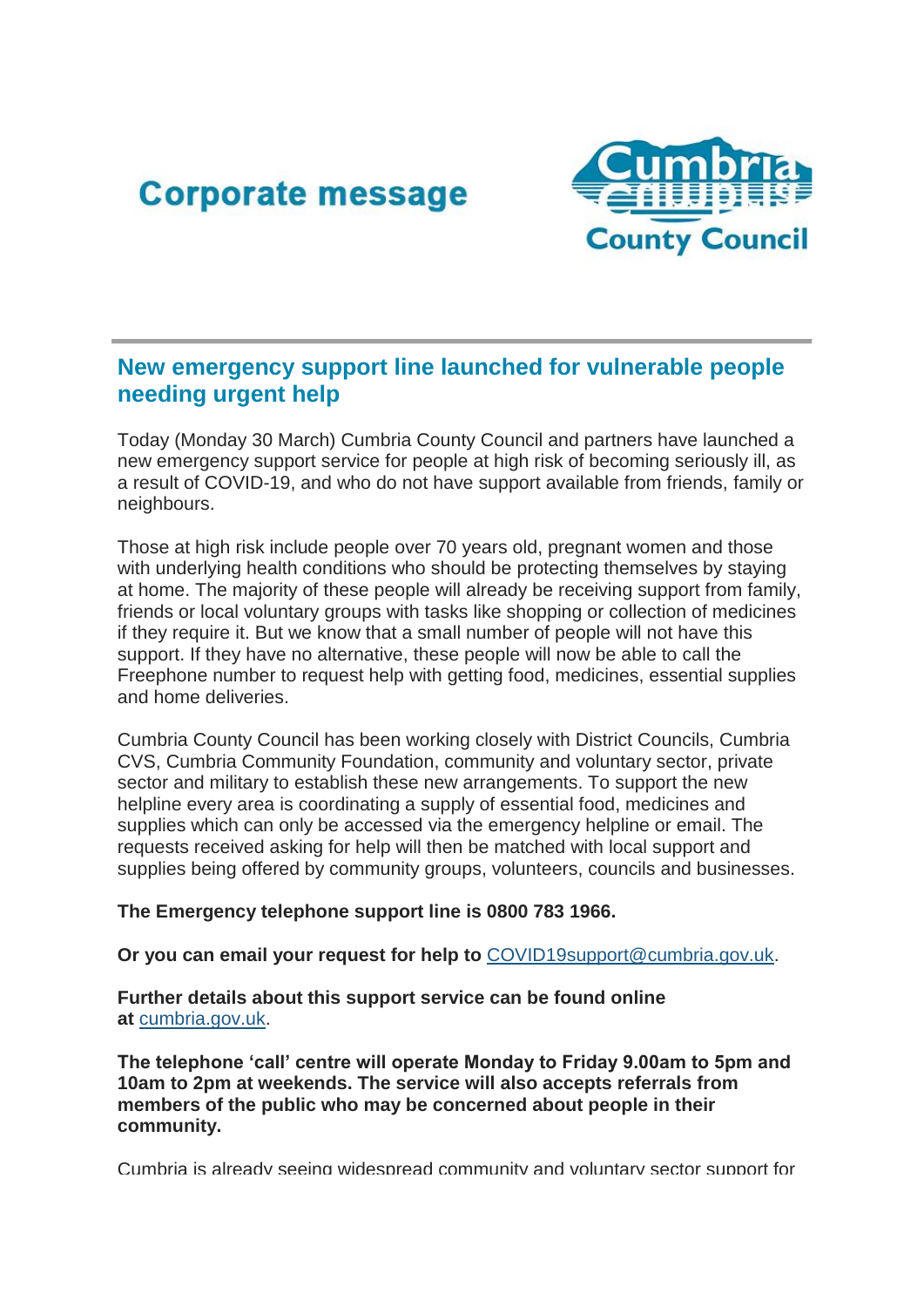## **Corporate message**



## **New emergency support line launched for vulnerable people needing urgent help**

Today (Monday 30 March) Cumbria County Council and partners have launched a new emergency support service for people at high risk of becoming seriously ill, as a result of COVID-19, and who do not have support available from friends, family or neighbours.

Those at high risk include people over 70 years old, pregnant women and those with underlying health conditions who should be protecting themselves by staying at home. The majority of these people will already be receiving support from family, friends or local voluntary groups with tasks like shopping or collection of medicines if they require it. But we know that a small number of people will not have this support. If they have no alternative, these people will now be able to call the Freephone number to request help with getting food, medicines, essential supplies and home deliveries.

Cumbria County Council has been working closely with District Councils, Cumbria CVS, Cumbria Community Foundation, community and voluntary sector, private sector and military to establish these new arrangements. To support the new helpline every area is coordinating a supply of essential food, medicines and supplies which can only be accessed via the emergency helpline or email. The requests received asking for help will then be matched with local support and supplies being offered by community groups, volunteers, councils and businesses.

**The Emergency telephone support line is 0800 783 1966.**

**Or you can email your request for help to** [COVID19support@cumbria.gov.uk.](mailto:COVID19support@cumbria.gov.uk)

**Further details about this support service can be found online at** [cumbria.gov.uk](https://lnks.gd/l/eyJhbGciOiJIUzI1NiJ9.eyJidWxsZXRpbl9saW5rX2lkIjoxMDEsInVyaSI6ImJwMjpjbGljayIsImJ1bGxldGluX2lkIjoiMjAyMDAzMzAuMTk0NjYxMDEiLCJ1cmwiOiJodHRwOi8vY3VtYnJpYS5nb3YudWsvIn0.RqvkcuncUDxMgRuvf18eq4aa_zlQX9KxSY5PpADeHws/br/76774823836-l)[.](https://lnks.gd/l/eyJhbGciOiJIUzI1NiJ9.eyJidWxsZXRpbl9saW5rX2lkIjoxMDIsInVyaSI6ImJwMjpjbGljayIsImJ1bGxldGluX2lkIjoiMjAyMDAzMzAuMTk0NjYxMDEiLCJ1cmwiOiJodHRwOi8vY3VtYnJpYS5nb3YudWsvIn0.V6flez2VP-tySsZXwrX0883NGwFkGIQo4TZouIjYR_g/br/76774823836-l)

**The telephone 'call' centre will operate Monday to Friday 9.00am to 5pm and 10am to 2pm at weekends. The service will also accepts referrals from members of the public who may be concerned about people in their community.**

Cumbria is already seeing widespread community and voluntary sector support for